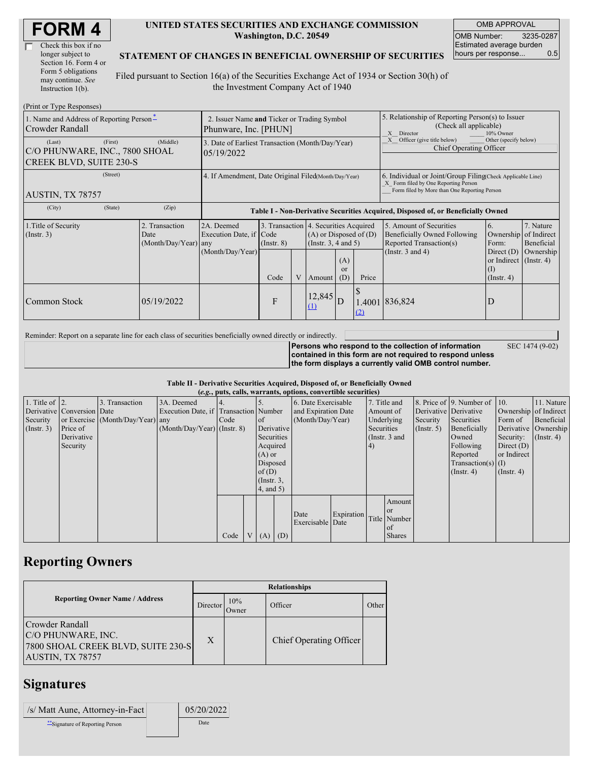| <b>FORM4</b> |
|--------------|
|--------------|

| Check this box if no  |
|-----------------------|
| longer subject to     |
| Section 16. Form 4 or |
| Form 5 obligations    |
| may continue. See     |
| Instruction 1(b).     |

#### **UNITED STATES SECURITIES AND EXCHANGE COMMISSION Washington, D.C. 20549**

OMB APPROVAL OMB Number: 3235-0287 Estimated average burden hours per response... 0.5

#### **STATEMENT OF CHANGES IN BENEFICIAL OWNERSHIP OF SECURITIES**

Filed pursuant to Section 16(a) of the Securities Exchange Act of 1934 or Section 30(h) of the Investment Company Act of 1940

| (Print or Type Responses)                                                             |                                                                      |                                                           |                 |   |                                                                                                      |                      |                                                                                                                                                    |                                                                                                                    |                                                                       |                                                     |  |  |  |
|---------------------------------------------------------------------------------------|----------------------------------------------------------------------|-----------------------------------------------------------|-----------------|---|------------------------------------------------------------------------------------------------------|----------------------|----------------------------------------------------------------------------------------------------------------------------------------------------|--------------------------------------------------------------------------------------------------------------------|-----------------------------------------------------------------------|-----------------------------------------------------|--|--|--|
| 1. Name and Address of Reporting Person-<br>Crowder Randall                           | 2. Issuer Name and Ticker or Trading Symbol<br>Phunware, Inc. [PHUN] |                                                           |                 |   |                                                                                                      |                      | 5. Relationship of Reporting Person(s) to Issuer<br>(Check all applicable)<br>10% Owner<br>X<br>Director                                           |                                                                                                                    |                                                                       |                                                     |  |  |  |
| (First)<br>(Last)<br>C/O PHUNWARE, INC., 7800 SHOAL<br><b>CREEK BLVD, SUITE 230-S</b> | 3. Date of Earliest Transaction (Month/Day/Year)<br>05/19/2022       |                                                           |                 |   |                                                                                                      |                      | Officer (give title below)<br>Other (specify below)<br>Chief Operating Officer                                                                     |                                                                                                                    |                                                                       |                                                     |  |  |  |
| (Street)<br>AUSTIN, TX 78757                                                          | 4. If Amendment, Date Original Filed(Month/Day/Year)                 |                                                           |                 |   |                                                                                                      |                      | 6. Individual or Joint/Group Filing Check Applicable Line)<br>X Form filed by One Reporting Person<br>Form filed by More than One Reporting Person |                                                                                                                    |                                                                       |                                                     |  |  |  |
| (City)<br>(State)                                                                     | (Zip)                                                                |                                                           |                 |   |                                                                                                      |                      | Table I - Non-Derivative Securities Acquired, Disposed of, or Beneficially Owned                                                                   |                                                                                                                    |                                                                       |                                                     |  |  |  |
| 1. Title of Security<br>(Insert. 3)                                                   | 2. Transaction<br>Date<br>(Month/Day/Year) any                       | 2A. Deemed<br>Execution Date, if Code<br>(Month/Day/Year) | $($ Instr. $8)$ |   | 3. Transaction 4. Securities Acquired<br>$(A)$ or Disposed of $(D)$<br>$($ Instr. 3, 4 and 5)<br>(A) |                      |                                                                                                                                                    | 5. Amount of Securities<br><b>Beneficially Owned Following</b><br>Reported Transaction(s)<br>(Instr. $3$ and $4$ ) | 6.<br>Ownership<br>Form:<br>Direct $(D)$<br>or Indirect $($ Instr. 4) | 7. Nature<br>of Indirect<br>Beneficial<br>Ownership |  |  |  |
|                                                                                       |                                                                      |                                                           | Code            | V | Amount                                                                                               | <sub>or</sub><br>(D) | Price                                                                                                                                              |                                                                                                                    | $\rm (1)$<br>$($ Instr. 4 $)$                                         |                                                     |  |  |  |
| Common Stock                                                                          | 05/19/2022                                                           |                                                           | F               |   | 12,845<br>$\Omega$                                                                                   | D                    | (2)                                                                                                                                                | 1.4001 836,824                                                                                                     | D                                                                     |                                                     |  |  |  |

Reminder: Report on a separate line for each class of securities beneficially owned directly or indirectly.

**Persons who respond to the collection of information contained in this form are not required to respond unless the form displays a currently valid OMB control number.** SEC 1474 (9-02)

**Table II - Derivative Securities Acquired, Disposed of, or Beneficially Owned (***e.g.***, puts, calls, warrants, options, convertible securities)**

| $(0.5, 0.005, 0.005, 0.0005, 0.00005, 0.0000, 0.0000, 0.0000, 0.0000, 0.0000, 0.0000, 0.0000, 0.0000, 0.0000, 0.0000, 0.0000, 0.0000, 0.0000, 0.0000, 0.0000, 0.0000, 0.0000, 0.0000, 0.0000, 0.0000, 0.0000, 0.0000, 0.0000,$ |                            |                                  |                                       |      |  |                 |  |                     |            |                  |               |                       |                              |                       |               |                      |            |
|--------------------------------------------------------------------------------------------------------------------------------------------------------------------------------------------------------------------------------|----------------------------|----------------------------------|---------------------------------------|------|--|-----------------|--|---------------------|------------|------------------|---------------|-----------------------|------------------------------|-----------------------|---------------|----------------------|------------|
| 1. Title of $\vert$ 2.                                                                                                                                                                                                         |                            | 3. Transaction                   | 3A. Deemed                            |      |  |                 |  | 6. Date Exercisable |            |                  | 7. Title and  |                       | 8. Price of 9. Number of 10. |                       | 11. Nature    |                      |            |
|                                                                                                                                                                                                                                | Derivative Conversion Date |                                  | Execution Date, if Transaction Number |      |  |                 |  | and Expiration Date |            |                  | Amount of     | Derivative Derivative |                              | Ownership of Indirect |               |                      |            |
| Security                                                                                                                                                                                                                       |                            | or Exercise (Month/Day/Year) any |                                       | Code |  | <sub>of</sub>   |  |                     |            | (Month/Day/Year) |               |                       | Underlying                   | Security              | Securities    | Form of              | Beneficial |
| $($ Instr. 3 $)$                                                                                                                                                                                                               | Price of                   |                                  | $(Month/Day/Year)$ (Instr. 8)         |      |  | Derivative      |  |                     |            |                  |               | Securities            |                              | (Insert, 5)           | Beneficially  | Derivative Ownership |            |
|                                                                                                                                                                                                                                | Derivative                 |                                  |                                       |      |  | Securities      |  |                     |            |                  | (Instr. 3 and |                       | Owned                        | Security:             | $($ Instr. 4) |                      |            |
|                                                                                                                                                                                                                                | Security                   |                                  |                                       |      |  | Acquired        |  |                     |            | 4)               |               |                       | Following                    | Direct $(D)$          |               |                      |            |
|                                                                                                                                                                                                                                |                            |                                  |                                       |      |  | $(A)$ or        |  |                     |            |                  |               |                       | Reported                     | or Indirect           |               |                      |            |
|                                                                                                                                                                                                                                |                            |                                  |                                       |      |  | Disposed        |  |                     |            |                  |               |                       | $Transaction(s)$ (I)         |                       |               |                      |            |
|                                                                                                                                                                                                                                |                            |                                  |                                       |      |  | of $(D)$        |  |                     |            |                  |               |                       | $($ Instr. 4 $)$             | $($ Instr. 4 $)$      |               |                      |            |
|                                                                                                                                                                                                                                |                            |                                  |                                       |      |  | $($ Instr. $3,$ |  |                     |            |                  |               |                       |                              |                       |               |                      |            |
|                                                                                                                                                                                                                                |                            |                                  |                                       |      |  | $4$ , and $5$ ) |  |                     |            |                  |               |                       |                              |                       |               |                      |            |
|                                                                                                                                                                                                                                |                            |                                  |                                       |      |  |                 |  |                     |            |                  | Amount        |                       |                              |                       |               |                      |            |
|                                                                                                                                                                                                                                |                            |                                  |                                       |      |  |                 |  |                     |            |                  | <b>or</b>     |                       |                              |                       |               |                      |            |
|                                                                                                                                                                                                                                |                            |                                  |                                       |      |  |                 |  | Date                | Expiration |                  | Title Number  |                       |                              |                       |               |                      |            |
|                                                                                                                                                                                                                                |                            |                                  |                                       |      |  |                 |  | Exercisable Date    |            |                  | of            |                       |                              |                       |               |                      |            |
|                                                                                                                                                                                                                                |                            |                                  |                                       | Code |  | $V(A)$ (D)      |  |                     |            |                  | <b>Shares</b> |                       |                              |                       |               |                      |            |
|                                                                                                                                                                                                                                |                            |                                  |                                       |      |  |                 |  |                     |            |                  |               |                       |                              |                       |               |                      |            |

## **Reporting Owners**

|                                                                                                 | <b>Relationships</b> |                      |                         |       |  |  |  |  |
|-------------------------------------------------------------------------------------------------|----------------------|----------------------|-------------------------|-------|--|--|--|--|
| <b>Reporting Owner Name / Address</b>                                                           | Director             | 10%<br><b>J</b> wner | Officer                 | Other |  |  |  |  |
| Crowder Randall<br>C/O PHUNWARE, INC.<br>7800 SHOAL CREEK BLVD, SUITE 230-S<br>AUSTIN, TX 78757 | $\boldsymbol{X}$     |                      | Chief Operating Officer |       |  |  |  |  |

### **Signatures**

| /s/ Matt Aune, Attorney-in-Fact | 05/20/2022 |
|---------------------------------|------------|
| **Signature of Reporting Person | Date       |